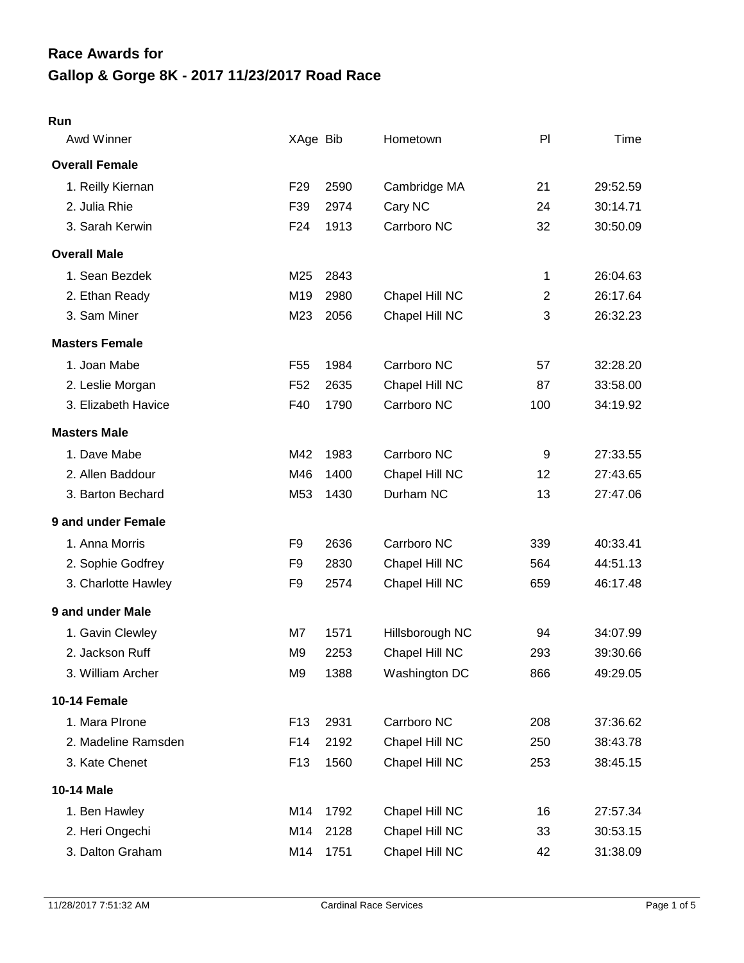# **Gallop & Gorge 8K - 2017 11/23/2017 Road Race Race Awards for**

#### **Run**

| Awd Winner            | XAge Bib        |      | Hometown        | PI             | Time     |
|-----------------------|-----------------|------|-----------------|----------------|----------|
| <b>Overall Female</b> |                 |      |                 |                |          |
| 1. Reilly Kiernan     | F <sub>29</sub> | 2590 | Cambridge MA    | 21             | 29:52.59 |
| 2. Julia Rhie         | F39             | 2974 | Cary NC         | 24             | 30:14.71 |
| 3. Sarah Kerwin       | F <sub>24</sub> | 1913 | Carrboro NC     | 32             | 30:50.09 |
| <b>Overall Male</b>   |                 |      |                 |                |          |
| 1. Sean Bezdek        | M25             | 2843 |                 | 1              | 26:04.63 |
| 2. Ethan Ready        | M19             | 2980 | Chapel Hill NC  | $\overline{c}$ | 26:17.64 |
| 3. Sam Miner          | M23             | 2056 | Chapel Hill NC  | 3              | 26:32.23 |
| <b>Masters Female</b> |                 |      |                 |                |          |
| 1. Joan Mabe          | F <sub>55</sub> | 1984 | Carrboro NC     | 57             | 32:28.20 |
| 2. Leslie Morgan      | F <sub>52</sub> | 2635 | Chapel Hill NC  | 87             | 33:58.00 |
| 3. Elizabeth Havice   | F40             | 1790 | Carrboro NC     | 100            | 34:19.92 |
| <b>Masters Male</b>   |                 |      |                 |                |          |
| 1. Dave Mabe          | M42             | 1983 | Carrboro NC     | 9              | 27:33.55 |
| 2. Allen Baddour      | M46             | 1400 | Chapel Hill NC  | 12             | 27:43.65 |
| 3. Barton Bechard     | M53             | 1430 | Durham NC       | 13             | 27:47.06 |
| 9 and under Female    |                 |      |                 |                |          |
| 1. Anna Morris        | F9              | 2636 | Carrboro NC     | 339            | 40:33.41 |
| 2. Sophie Godfrey     | F <sub>9</sub>  | 2830 | Chapel Hill NC  | 564            | 44:51.13 |
| 3. Charlotte Hawley   | F <sub>9</sub>  | 2574 | Chapel Hill NC  | 659            | 46:17.48 |
| 9 and under Male      |                 |      |                 |                |          |
| 1. Gavin Clewley      | M7              | 1571 | Hillsborough NC | 94             | 34:07.99 |
| 2. Jackson Ruff       | M <sub>9</sub>  | 2253 | Chapel Hill NC  | 293            | 39:30.66 |
| 3. William Archer     | M <sub>9</sub>  | 1388 | Washington DC   | 866            | 49:29.05 |
| 10-14 Female          |                 |      |                 |                |          |
| 1. Mara PIrone        | F <sub>13</sub> | 2931 | Carrboro NC     | 208            | 37:36.62 |
| 2. Madeline Ramsden   | F14             | 2192 | Chapel Hill NC  | 250            | 38:43.78 |
| 3. Kate Chenet        | F <sub>13</sub> | 1560 | Chapel Hill NC  | 253            | 38:45.15 |
| 10-14 Male            |                 |      |                 |                |          |
| 1. Ben Hawley         | M14             | 1792 | Chapel Hill NC  | 16             | 27:57.34 |
| 2. Heri Ongechi       | M14             | 2128 | Chapel Hill NC  | 33             | 30:53.15 |
| 3. Dalton Graham      | M14             | 1751 | Chapel Hill NC  | 42             | 31:38.09 |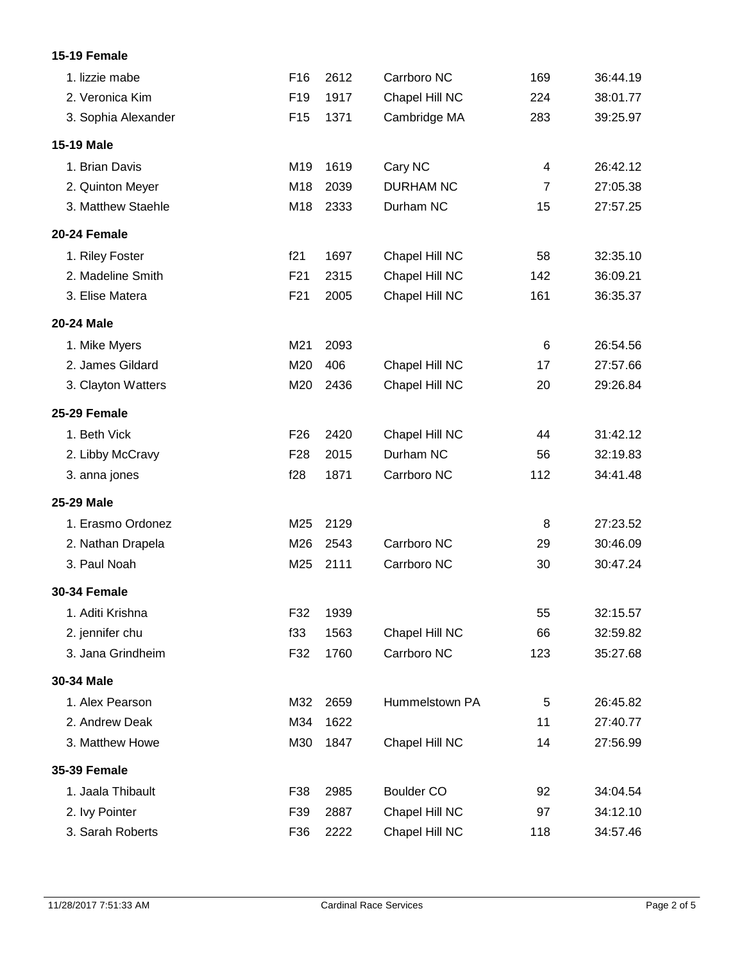#### **15-19 Female**

| 1. lizzie mabe      | F <sub>16</sub> | 2612 | Carrboro NC       | 169            | 36:44.19 |
|---------------------|-----------------|------|-------------------|----------------|----------|
| 2. Veronica Kim     | F <sub>19</sub> | 1917 | Chapel Hill NC    | 224            | 38:01.77 |
| 3. Sophia Alexander | F <sub>15</sub> | 1371 | Cambridge MA      | 283            | 39:25.97 |
| <b>15-19 Male</b>   |                 |      |                   |                |          |
| 1. Brian Davis      | M19             | 1619 | Cary NC           | 4              | 26:42.12 |
| 2. Quinton Meyer    | M18             | 2039 | <b>DURHAM NC</b>  | $\overline{7}$ | 27:05.38 |
| 3. Matthew Staehle  | M18             | 2333 | Durham NC         | 15             | 27:57.25 |
| 20-24 Female        |                 |      |                   |                |          |
| 1. Riley Foster     | f21             | 1697 | Chapel Hill NC    | 58             | 32:35.10 |
| 2. Madeline Smith   | F <sub>21</sub> | 2315 | Chapel Hill NC    | 142            | 36:09.21 |
| 3. Elise Matera     | F <sub>21</sub> | 2005 | Chapel Hill NC    | 161            | 36:35.37 |
| 20-24 Male          |                 |      |                   |                |          |
| 1. Mike Myers       | M21             | 2093 |                   | 6              | 26:54.56 |
| 2. James Gildard    | M20             | 406  | Chapel Hill NC    | 17             | 27:57.66 |
| 3. Clayton Watters  | M20             | 2436 | Chapel Hill NC    | 20             | 29:26.84 |
| 25-29 Female        |                 |      |                   |                |          |
| 1. Beth Vick        | F <sub>26</sub> | 2420 | Chapel Hill NC    | 44             | 31:42.12 |
| 2. Libby McCravy    | F <sub>28</sub> | 2015 | Durham NC         | 56             | 32:19.83 |
| 3. anna jones       | f28             | 1871 | Carrboro NC       | 112            | 34:41.48 |
| 25-29 Male          |                 |      |                   |                |          |
| 1. Erasmo Ordonez   | M25             | 2129 |                   | 8              | 27:23.52 |
| 2. Nathan Drapela   | M26             | 2543 | Carrboro NC       | 29             | 30:46.09 |
| 3. Paul Noah        | M25             | 2111 | Carrboro NC       | 30             | 30:47.24 |
| <b>30-34 Female</b> |                 |      |                   |                |          |
| 1. Aditi Krishna    | F32             | 1939 |                   | 55             | 32:15.57 |
| 2. jennifer chu     | f33             | 1563 | Chapel Hill NC    | 66             | 32:59.82 |
| 3. Jana Grindheim   | F32             | 1760 | Carrboro NC       | 123            | 35:27.68 |
| 30-34 Male          |                 |      |                   |                |          |
| 1. Alex Pearson     | M32             | 2659 | Hummelstown PA    | 5              | 26:45.82 |
| 2. Andrew Deak      | M34             | 1622 |                   | 11             | 27:40.77 |
| 3. Matthew Howe     | M30             | 1847 | Chapel Hill NC    | 14             | 27:56.99 |
| <b>35-39 Female</b> |                 |      |                   |                |          |
| 1. Jaala Thibault   | F38             | 2985 | <b>Boulder CO</b> | 92             | 34:04.54 |
| 2. Ivy Pointer      | F39             | 2887 | Chapel Hill NC    | 97             | 34:12.10 |
| 3. Sarah Roberts    | F36             | 2222 | Chapel Hill NC    | 118            | 34:57.46 |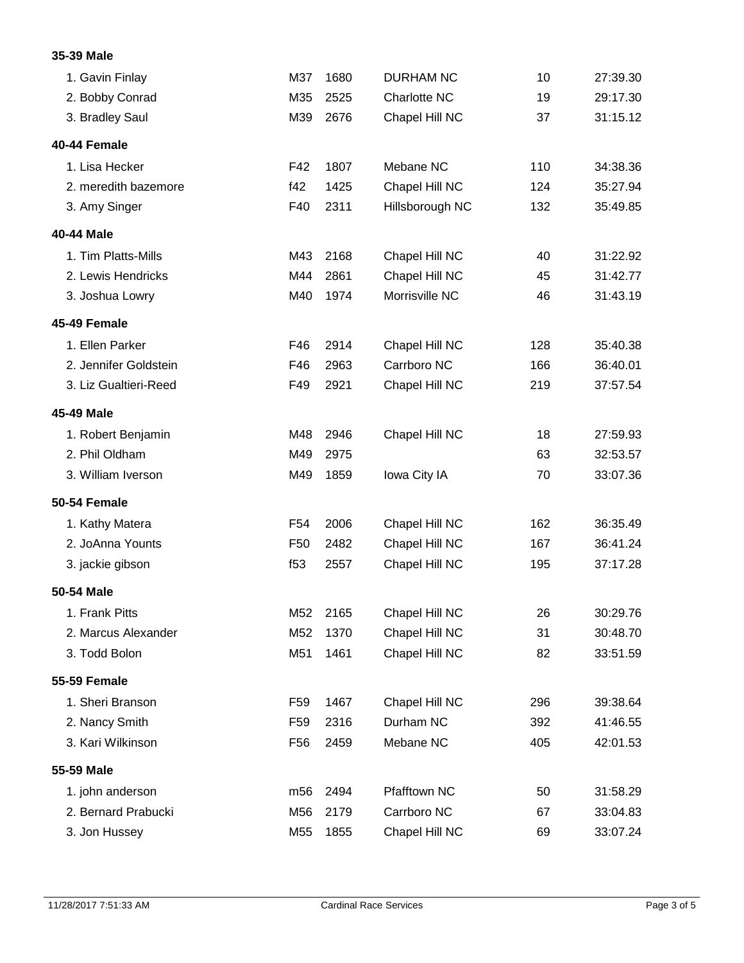#### **35-39 Male**

| 1. Gavin Finlay       | M37             | 1680 | <b>DURHAM NC</b> | 10  | 27:39.30 |
|-----------------------|-----------------|------|------------------|-----|----------|
| 2. Bobby Conrad       | M35             | 2525 | Charlotte NC     | 19  | 29:17.30 |
| 3. Bradley Saul       | M39             | 2676 | Chapel Hill NC   | 37  | 31:15.12 |
| 40-44 Female          |                 |      |                  |     |          |
| 1. Lisa Hecker        | F42             | 1807 | Mebane NC        | 110 | 34:38.36 |
| 2. meredith bazemore  | f42             | 1425 | Chapel Hill NC   | 124 | 35:27.94 |
| 3. Amy Singer         | F40             | 2311 | Hillsborough NC  | 132 | 35:49.85 |
| 40-44 Male            |                 |      |                  |     |          |
| 1. Tim Platts-Mills   | M43             | 2168 | Chapel Hill NC   | 40  | 31:22.92 |
| 2. Lewis Hendricks    | M44             | 2861 | Chapel Hill NC   | 45  | 31:42.77 |
| 3. Joshua Lowry       | M40             | 1974 | Morrisville NC   | 46  | 31:43.19 |
| 45-49 Female          |                 |      |                  |     |          |
| 1. Ellen Parker       | F46             | 2914 | Chapel Hill NC   | 128 | 35:40.38 |
| 2. Jennifer Goldstein | F46             | 2963 | Carrboro NC      | 166 | 36:40.01 |
| 3. Liz Gualtieri-Reed | F49             | 2921 | Chapel Hill NC   | 219 | 37:57.54 |
| 45-49 Male            |                 |      |                  |     |          |
| 1. Robert Benjamin    | M48             | 2946 | Chapel Hill NC   | 18  | 27:59.93 |
| 2. Phil Oldham        | M49             | 2975 |                  | 63  | 32:53.57 |
| 3. William Iverson    | M49             | 1859 | Iowa City IA     | 70  | 33:07.36 |
| <b>50-54 Female</b>   |                 |      |                  |     |          |
| 1. Kathy Matera       | F <sub>54</sub> | 2006 | Chapel Hill NC   | 162 | 36:35.49 |
| 2. JoAnna Younts      | F <sub>50</sub> | 2482 | Chapel Hill NC   | 167 | 36:41.24 |
| 3. jackie gibson      | f <sub>53</sub> | 2557 | Chapel Hill NC   | 195 | 37:17.28 |
| 50-54 Male            |                 |      |                  |     |          |
| 1. Frank Pitts        | M52             | 2165 | Chapel Hill NC   | 26  | 30:29.76 |
| 2. Marcus Alexander   | M52             | 1370 | Chapel Hill NC   | 31  | 30:48.70 |
| 3. Todd Bolon         | M51             | 1461 | Chapel Hill NC   | 82  | 33:51.59 |
| <b>55-59 Female</b>   |                 |      |                  |     |          |
| 1. Sheri Branson      | F <sub>59</sub> | 1467 | Chapel Hill NC   | 296 | 39:38.64 |
| 2. Nancy Smith        | F <sub>59</sub> | 2316 | Durham NC        | 392 | 41:46.55 |
| 3. Kari Wilkinson     | F <sub>56</sub> | 2459 | Mebane NC        | 405 | 42:01.53 |
| 55-59 Male            |                 |      |                  |     |          |
| 1. john anderson      | m56             | 2494 | Pfafftown NC     | 50  | 31:58.29 |
| 2. Bernard Prabucki   | M56             | 2179 | Carrboro NC      | 67  | 33:04.83 |
| 3. Jon Hussey         | M55             | 1855 | Chapel Hill NC   | 69  | 33:07.24 |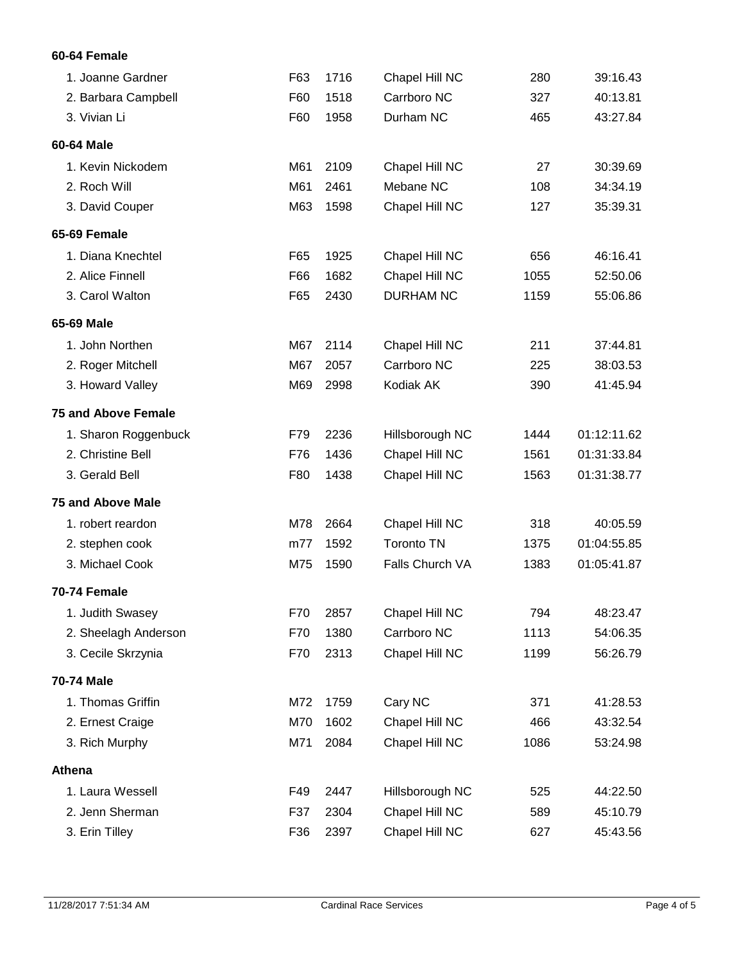### **60-64 Female**

| 1. Joanne Gardner          | F63 | 1716 | Chapel Hill NC    | 280  | 39:16.43    |
|----------------------------|-----|------|-------------------|------|-------------|
| 2. Barbara Campbell        | F60 | 1518 | Carrboro NC       | 327  | 40:13.81    |
| 3. Vivian Li               | F60 | 1958 | Durham NC         | 465  | 43:27.84    |
| 60-64 Male                 |     |      |                   |      |             |
| 1. Kevin Nickodem          | M61 | 2109 | Chapel Hill NC    | 27   | 30:39.69    |
| 2. Roch Will               | M61 | 2461 | Mebane NC         | 108  | 34:34.19    |
| 3. David Couper            | M63 | 1598 | Chapel Hill NC    | 127  | 35:39.31    |
| 65-69 Female               |     |      |                   |      |             |
| 1. Diana Knechtel          | F65 | 1925 | Chapel Hill NC    | 656  | 46:16.41    |
| 2. Alice Finnell           | F66 | 1682 | Chapel Hill NC    | 1055 | 52:50.06    |
| 3. Carol Walton            | F65 | 2430 | <b>DURHAM NC</b>  | 1159 | 55:06.86    |
| 65-69 Male                 |     |      |                   |      |             |
| 1. John Northen            | M67 | 2114 | Chapel Hill NC    | 211  | 37:44.81    |
| 2. Roger Mitchell          | M67 | 2057 | Carrboro NC       | 225  | 38:03.53    |
| 3. Howard Valley           | M69 | 2998 | Kodiak AK         | 390  | 41:45.94    |
| <b>75 and Above Female</b> |     |      |                   |      |             |
| 1. Sharon Roggenbuck       | F79 | 2236 | Hillsborough NC   | 1444 | 01:12:11.62 |
| 2. Christine Bell          | F76 | 1436 | Chapel Hill NC    | 1561 | 01:31:33.84 |
| 3. Gerald Bell             | F80 | 1438 | Chapel Hill NC    | 1563 | 01:31:38.77 |
| <b>75 and Above Male</b>   |     |      |                   |      |             |
| 1. robert reardon          | M78 | 2664 | Chapel Hill NC    | 318  | 40:05.59    |
| 2. stephen cook            | m77 | 1592 | <b>Toronto TN</b> | 1375 | 01:04:55.85 |
| 3. Michael Cook            | M75 | 1590 | Falls Church VA   | 1383 | 01:05:41.87 |
| 70-74 Female               |     |      |                   |      |             |
| 1. Judith Swasey           | F70 | 2857 | Chapel Hill NC    | 794  | 48:23.47    |
| 2. Sheelagh Anderson       | F70 | 1380 | Carrboro NC       | 1113 | 54:06.35    |
| 3. Cecile Skrzynia         | F70 | 2313 | Chapel Hill NC    | 1199 | 56:26.79    |
| 70-74 Male                 |     |      |                   |      |             |
| 1. Thomas Griffin          | M72 | 1759 | Cary NC           | 371  | 41:28.53    |
| 2. Ernest Craige           | M70 | 1602 | Chapel Hill NC    | 466  | 43:32.54    |
| 3. Rich Murphy             | M71 | 2084 | Chapel Hill NC    | 1086 | 53:24.98    |
| Athena                     |     |      |                   |      |             |
| 1. Laura Wessell           | F49 | 2447 | Hillsborough NC   | 525  | 44:22.50    |
| 2. Jenn Sherman            | F37 | 2304 | Chapel Hill NC    | 589  | 45:10.79    |
| 3. Erin Tilley             | F36 | 2397 | Chapel Hill NC    | 627  | 45:43.56    |